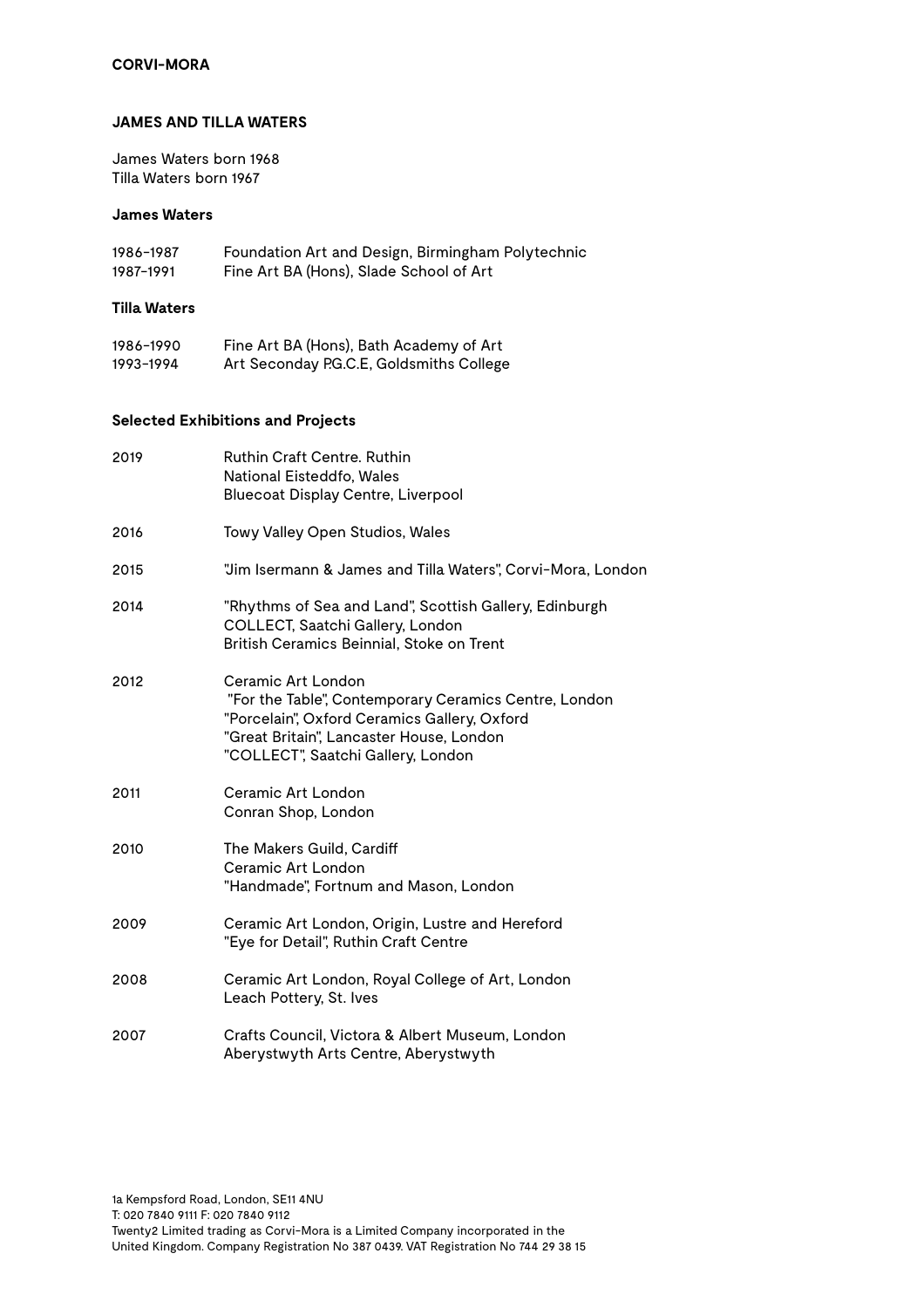## **JAMES AND TILLA WATERS**

James Waters born 1968 Tilla Waters born 1967

#### **James Waters**

| 1986-1987    | Foundation Art and Design, Birmingham Polytechnic |
|--------------|---------------------------------------------------|
| 1987-1991    | Fine Art BA (Hons), Slade School of Art           |
| Tilla Waters |                                                   |

| 1986–1990 | Fine Art BA (Hons), Bath Academy of Art  |
|-----------|------------------------------------------|
| 1993–1994 | Art Seconday P.G.C.E, Goldsmiths College |

# **Selected Exhibitions and Projects**

| 2019 | <b>Ruthin Craft Centre, Ruthin</b><br>National Eisteddfo, Wales<br><b>Bluecoat Display Centre, Liverpool</b>                                                                                                  |
|------|---------------------------------------------------------------------------------------------------------------------------------------------------------------------------------------------------------------|
| 2016 | Towy Valley Open Studios, Wales                                                                                                                                                                               |
| 2015 | "Jim Isermann & James and Tilla Waters", Corvi-Mora, London                                                                                                                                                   |
| 2014 | "Rhythms of Sea and Land", Scottish Gallery, Edinburgh<br>COLLECT, Saatchi Gallery, London<br>British Ceramics Beinnial, Stoke on Trent                                                                       |
| 2012 | Ceramic Art London<br>"For the Table", Contemporary Ceramics Centre, London<br>"Porcelain", Oxford Ceramics Gallery, Oxford<br>"Great Britain", Lancaster House, London<br>"COLLECT", Saatchi Gallery, London |
| 2011 | Ceramic Art London<br>Conran Shop, London                                                                                                                                                                     |
| 2010 | The Makers Guild, Cardiff<br>Ceramic Art London<br>"Handmade", Fortnum and Mason, London                                                                                                                      |
| 2009 | Ceramic Art London, Origin, Lustre and Hereford<br>"Eye for Detail", Ruthin Craft Centre                                                                                                                      |
| 2008 | Ceramic Art London, Royal College of Art, London<br>Leach Pottery, St. Ives                                                                                                                                   |
| 2007 | Crafts Council, Victora & Albert Museum, London<br>Aberystwyth Arts Centre, Aberystwyth                                                                                                                       |